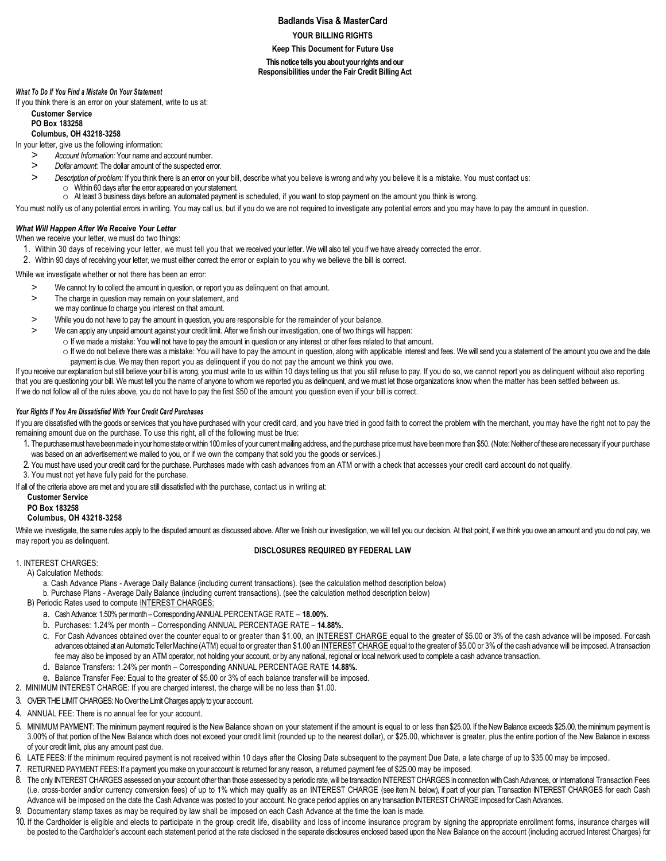# **Badlands Visa & MasterCard YOUR BILLING RIGHTS Keep This Document for Future Use This notice tells you about your rights and our Responsibilities under the Fair Credit Billing Act**

#### *What To Do If You Find a Mistake On Your Statement*

If you think there is an error on your statement, write to us at:

# **Customer Service**

#### **PO Box 183258 Columbus, OH 43218-3258**

In your letter, give us the following information:

- *> Account Information:* Your name and account number.
- *> Dollar amount:* The dollar amount of the suspected error.
- *> Description of problem:* If you think there is an error on your bill, describe what you believe is wrong and why you believe it is a mistake. You must contact us: o Within 60 days after the error appeared on your statement.
- o At least 3 business days before an automated payment is scheduled, if you want to stop payment on the amount you think is wrong.
- You must notify us of any potential errors in writing. You may call us, but if you do we are not required to investigate any potential errors and you may have to pay the amount in question.

## *What Will Happen After We Receive Your Letter*

When we receive your letter, we must do two things:

- 1. Within 30 days of receiving your letter, we must tell you that we received your letter. We will also tell you if we have already corrected the error.
- 2. Within 90 days of receiving your letter, we must either correct the error or explain to you why we believe the bill is correct.

While we investigate whether or not there has been an error:

- > We cannot try to collect the amount in question, or report you as delinquent on that amount.
- > The charge in question may remain on your statement, and
- we may continue to charge you interest on that amount.
- > While you do not have to pay the amount in question, you are responsible for the remainder of your balance.
- > We can apply any unpaid amount against your credit limit. After we finish our investigation, one of two things will happen:
	- o If we made a mistake: You will not have to pay the amount in question or any interest or other fees related to that amount.
- o If we do not believe there was a mistake: You will have to pay the amount in question, along with applicable interest and fees. We will send you a statement of the amount you owe and the date payment is due. We may then report you as delinquent if you do not pay the amount we think you owe.

If you receive our explanation but still believe your bill is wrong, you must write to us within 10 days telling us that you still refuse to pay. If you do so, we cannot report you as delinquent without also reporting that you are questioning your bill. We must tell you the name of anyone to whom we reported you as delinquent, and we must let those organizations know when the matter has been settled between us. If we do not follow all of the rules above, you do not have to pay the first \$50 of the amount you question even if your bill is correct.

## *Your Rights If You Are Dissatisfied With Your Credit Card Purchases*

If you are dissatisfied with the goods or services that you have purchased with your credit card, and you have tried in good faith to correct the problem with the merchant, you may have the right not to pay the remaining amount due on the purchase. To use this right, all of the following must be true:

- 1. The purchase must have been made in your home state or within 100 miles of your current mailing address, and the purchase price must have been more than \$50. (Note: Neither of these are necessary if your purchase was based on an advertisement we mailed to you, or if we own the company that sold you the goods or services.)
- 2. You must have used your credit card for the purchase. Purchases made with cash advances from an ATM or with a check that accesses your credit card account do not qualify.
- 3. You must not yet have fully paid for the purchase.

If all of the criteria above are met and you are still dissatisfied with the purchase, contact us in writing at:

## **Customer Service**

### **PO Box 183258**

# **Columbus, OH 43218-3258**

While we investigate, the same rules apply to the disputed amount as discussed above. After we finish our investigation, we will tell you our decision. At that point, if we think you owe an amount and you do not pay, we may report you as delinquent.

## **DISCLOSURES REQUIRED BY FEDERAL LAW**

## 1. INTEREST CHARGES:

A) Calculation Methods:

a. Cash Advance Plans - Average Daily Balance (including current transactions). (see the calculation method description below)

b. Purchase Plans - Average Daily Balance (including current transactions). (see the calculation method description below)

- B) Periodic Rates used to compute INTEREST CHARGES:
	- a. Cash Advance: 1.50% per month –Corresponding ANNUAL PERCENTAGE RATE **18.00%.**
	- b. Purchases: 1.24% per month Corresponding ANNUAL PERCENTAGE RATE **14.88%.**
	- c. For Cash Advances obtained over the counter equal to or greater than \$1.00, an INTEREST CHARGE equal to the greater of \$5.00 or 3% of the cash advance will be imposed. For cash advances obtained at an Automatic Teller Machine (ATM) equal to or greater than \$1.00 an INTEREST CHARGE equal to the greater of \$5.00 or 3% of the cash advance will be imposed. A transaction fee may also be imposed by an ATM operator, not holding your account, or by any national, regional or local network used to complete a cash advance transaction.
	- d. Balance Transfers**:** 1.24% per month Corresponding ANNUAL PERCENTAGE RATE **14.88%.**
	- e. Balance Transfer Fee: Equal to the greater of \$5.00 or 3% of each balance transfer will be imposed.
- 2. MINIMUM INTEREST CHARGE: If you are charged interest, the charge will be no less than \$1.00.
- 3. OVER THE LIMIT CHARGES: No Over the Limit Charges apply to your account.
- 4. ANNUAL FEE: There is no annual fee for your account.
- 5. MINIMUM PAYMENT: The minimum payment required is the New Balance shown on your statement if the amount is equal to or less than \$25.00. If the New Balance exceeds \$25.00, the minimum payment is 3.00% of that portion of the New Balance which does not exceed your credit limit (rounded up to the nearest dollar), or \$25.00, whichever is greater, plus the entire portion of the New Balance in excess of your credit limit, plus any amount past due.
- 6. LATE FEES: If the minimum required payment is not received within 10 days after the Closing Date subsequent to the payment Due Date, a late charge of up to \$35.00 may be imposed.
- 7. RETURNED PAYMENT FEES: If a payment you make on your account is returned for any reason, a returned payment fee of \$25.00 may be imposed.
- 8. The only INTEREST CHARGES assessed on your account other than those assessed by a periodic rate, will be transaction INTEREST CHARGES in connection with Cash Advances, or International Transaction Fees (i.e. cross-border and/or currency conversion fees) of up to 1% which may qualify as an INTEREST CHARGE (see item N. below), if part of your plan. Transaction INTEREST CHARGES for each Cash Advance will be imposed on the date the Cash Advance was posted to your account. No grace period applies on any transaction INTEREST CHARGE imposed for Cash Advances.
- 9. Documentary stamp taxes as may be required by law shall be imposed on each Cash Advance at the time the loan is made.
- 10. If the Cardholder is eligible and elects to participate in the group credit life, disability and loss of income insurance program by signing the appropriate enrollment forms, insurance charges will be posted to the Cardholder's account each statement period at the rate disclosed in the separate disclosures enclosed based upon the New Balance on the account (including accrued Interest Charges) for